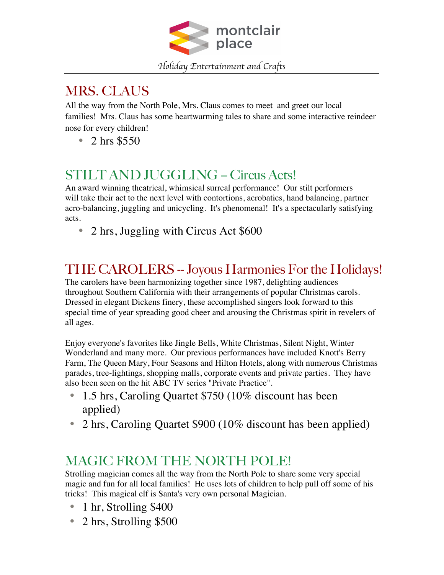

## MRS. CLAUS

All the way from the North Pole, Mrs. Claus comes to meet and greet our local families! Mrs. Claus has some heartwarming tales to share and some interactive reindeer nose for every children!

• 2 hrs \$550

#### STILT AND JUGGLING -- Circus Acts!

An award winning theatrical, whimsical surreal performance! Our stilt performers will take their act to the next level with contortions, acrobatics, hand balancing, partner acro-balancing, juggling and unicycling. It's phenomenal! It's a spectacularly satisfying acts.

• 2 hrs, Juggling with Circus Act \$600

## THE CAROLERS -- Joyous Harmonies For the Holidays!

The carolers have been harmonizing together since 1987, delighting audiences throughout Southern California with their arrangements of popular Christmas carols. Dressed in elegant Dickens finery, these accomplished singers look forward to this special time of year spreading good cheer and arousing the Christmas spirit in revelers of all ages.

Enjoy everyone's favorites like Jingle Bells, White Christmas, Silent Night, Winter Wonderland and many more. Our previous performances have included Knott's Berry Farm, The Queen Mary, Four Seasons and Hilton Hotels, along with numerous Christmas parades, tree-lightings, shopping malls, corporate events and private parties. They have also been seen on the hit ABC TV series "Private Practice".

- 1.5 hrs, Caroling Quartet \$750 (10% discount has been applied)
- 2 hrs, Caroling Quartet \$900 (10% discount has been applied)

## MAGIC FROM THE NORTH POLE!

Strolling magician comes all the way from the North Pole to share some very special magic and fun for all local families! He uses lots of children to help pull off some of his tricks! This magical elf is Santa's very own personal Magician.

- 1 hr, Strolling \$400
- 2 hrs, Strolling \$500